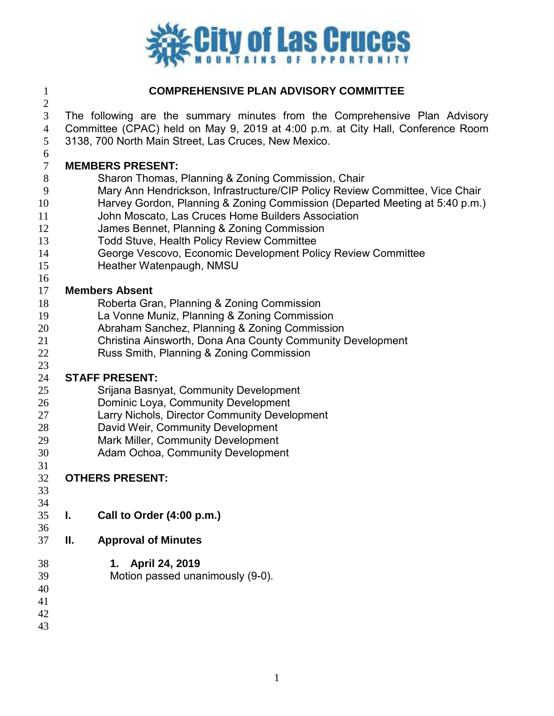

### **COMPREHENSIVE PLAN ADVISORY COMMITTEE**

 The following are the summary minutes from the Comprehensive Plan Advisory Committee (CPAC) held on May 9, 2019 at 4:00 p.m. at City Hall, Conference Room 3138, 700 North Main Street, Las Cruces, New Mexico.

#### **MEMBERS PRESENT:**

- Sharon Thomas, Planning & Zoning Commission, Chair
- Mary Ann Hendrickson, Infrastructure/CIP Policy Review Committee, Vice Chair
- Harvey Gordon, Planning & Zoning Commission (Departed Meeting at 5:40 p.m.)
- John Moscato, Las Cruces Home Builders Association
- James Bennet, Planning & Zoning Commission
- Todd Stuve, Health Policy Review Committee
- George Vescovo, Economic Development Policy Review Committee
- Heather Watenpaugh, NMSU

#### **Members Absent**

- Roberta Gran, Planning & Zoning Commission
- La Vonne Muniz, Planning & Zoning Commission
- Abraham Sanchez, Planning & Zoning Commission
- Christina Ainsworth, Dona Ana County Community Development
- Russ Smith, Planning & Zoning Commission

# **STAFF PRESENT:**

- Srijana Basnyat, Community Development
- Dominic Loya, Community Development
- Larry Nichols, Director Community Development
- David Weir, Community Development
- Mark Miller, Community Development
- Adam Ochoa, Community Development
- 

# **OTHERS PRESENT:**

- 
- **I. Call to Order (4:00 p.m.)**
- **II. Approval of Minutes**
- **1. April 24, 2019**
- Motion passed unanimously (9-0).
- 
- 
- 
-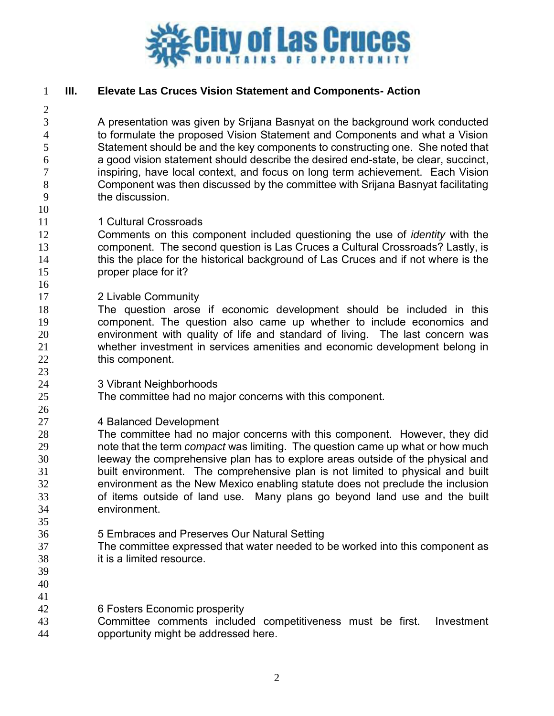

#### **III. Elevate Las Cruces Vision Statement and Components- Action**

 A presentation was given by Srijana Basnyat on the background work conducted to formulate the proposed Vision Statement and Components and what a Vision Statement should be and the key components to constructing one. She noted that a good vision statement should describe the desired end-state, be clear, succinct, inspiring, have local context, and focus on long term achievement. Each Vision Component was then discussed by the committee with Srijana Basnyat facilitating the discussion.

11 1 1 Cultural Crossroads

 Comments on this component included questioning the use of *identity* with the component. The second question is Las Cruces a Cultural Crossroads? Lastly, is this the place for the historical background of Las Cruces and if not where is the proper place for it?

- 2 Livable Community
- The question arose if economic development should be included in this component. The question also came up whether to include economics and environment with quality of life and standard of living. The last concern was whether investment in services amenities and economic development belong in 22 this component.
- 3 Vibrant Neighborhoods
- The committee had no major concerns with this component.
- 4 Balanced Development

 The committee had no major concerns with this component. However, they did note that the term *compact* was limiting. The question came up what or how much leeway the comprehensive plan has to explore areas outside of the physical and built environment. The comprehensive plan is not limited to physical and built environment as the New Mexico enabling statute does not preclude the inclusion of items outside of land use. Many plans go beyond land use and the built environment. 

- 5 Embraces and Preserves Our Natural Setting
- The committee expressed that water needed to be worked into this component as it is a limited resource.
- 
- 
- 6 Fosters Economic prosperity
- Committee comments included competitiveness must be first. Investment opportunity might be addressed here.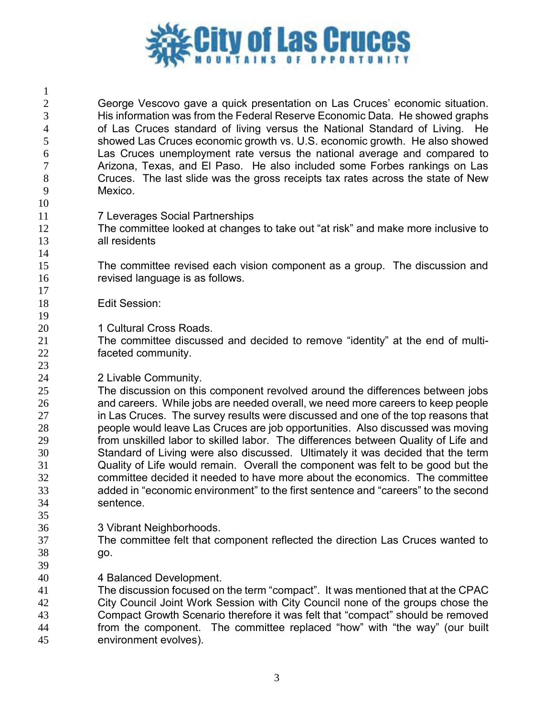

| $\mathbf{1}$   |                                                                                    |
|----------------|------------------------------------------------------------------------------------|
| $\overline{2}$ | George Vescovo gave a quick presentation on Las Cruces' economic situation.        |
| 3              | His information was from the Federal Reserve Economic Data. He showed graphs       |
| $\overline{4}$ | of Las Cruces standard of living versus the National Standard of Living. He        |
| 5              | showed Las Cruces economic growth vs. U.S. economic growth. He also showed         |
| 6              | Las Cruces unemployment rate versus the national average and compared to           |
| 7              | Arizona, Texas, and El Paso. He also included some Forbes rankings on Las          |
| 8              | Cruces. The last slide was the gross receipts tax rates across the state of New    |
| 9              | Mexico.                                                                            |
| 10             |                                                                                    |
| 11             | <b>7 Leverages Social Partnerships</b>                                             |
| 12             | The committee looked at changes to take out "at risk" and make more inclusive to   |
| 13             | all residents                                                                      |
| 14             |                                                                                    |
| 15             | The committee revised each vision component as a group. The discussion and         |
| 16             | revised language is as follows.                                                    |
| 17             |                                                                                    |
| 18             | <b>Edit Session:</b>                                                               |
| 19             |                                                                                    |
| 20             | 1 Cultural Cross Roads.                                                            |
| 21             | The committee discussed and decided to remove "identity" at the end of multi-      |
| 22             | faceted community.                                                                 |
| 23             |                                                                                    |
| 24             | 2 Livable Community.                                                               |
| 25             | The discussion on this component revolved around the differences between jobs      |
| 26             | and careers. While jobs are needed overall, we need more careers to keep people    |
| 27             | in Las Cruces. The survey results were discussed and one of the top reasons that   |
| 28             | people would leave Las Cruces are job opportunities. Also discussed was moving     |
| 29             | from unskilled labor to skilled labor. The differences between Quality of Life and |
| 30             | Standard of Living were also discussed. Ultimately it was decided that the term    |
| 31             | Quality of Life would remain. Overall the component was felt to be good but the    |
| 32             | committee decided it needed to have more about the economics. The committee        |
| 33             | added in "economic environment" to the first sentence and "careers" to the second  |
| 34             | sentence.                                                                          |
| 35             |                                                                                    |
| 36             | 3 Vibrant Neighborhoods.                                                           |
| 37             | The committee felt that component reflected the direction Las Cruces wanted to     |
| 38             | go.                                                                                |
| 39             |                                                                                    |
| 40             | 4 Balanced Development.                                                            |
| 41             | The discussion focused on the term "compact". It was mentioned that at the CPAC    |
| 42             | City Council Joint Work Session with City Council none of the groups chose the     |
| 43             | Compact Growth Scenario therefore it was felt that "compact" should be removed     |
| 44             | from the component. The committee replaced "how" with "the way" (our built         |
| 45             | environment evolves).                                                              |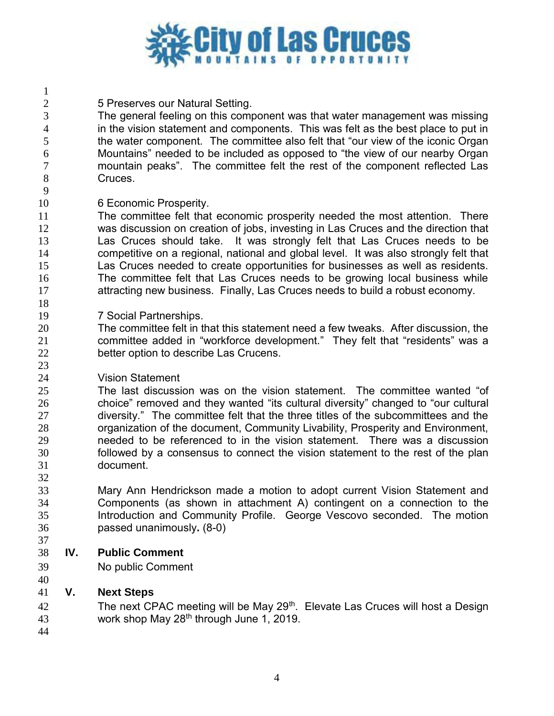

5 Preserves our Natural Setting.

 The general feeling on this component was that water management was missing in the vision statement and components. This was felt as the best place to put in the water component. The committee also felt that "our view of the iconic Organ Mountains" needed to be included as opposed to "the view of our nearby Organ mountain peaks". The committee felt the rest of the component reflected Las 8 Cruces.

6 Economic Prosperity.

 The committee felt that economic prosperity needed the most attention. There was discussion on creation of jobs, investing in Las Cruces and the direction that Las Cruces should take. It was strongly felt that Las Cruces needs to be competitive on a regional, national and global level. It was also strongly felt that Las Cruces needed to create opportunities for businesses as well as residents. The committee felt that Las Cruces needs to be growing local business while attracting new business. Finally, Las Cruces needs to build a robust economy.

7 Social Partnerships.

 The committee felt in that this statement need a few tweaks. After discussion, the committee added in "workforce development." They felt that "residents" was a better option to describe Las Crucens.

Vision Statement

 The last discussion was on the vision statement. The committee wanted "of choice" removed and they wanted "its cultural diversity" changed to "our cultural diversity." The committee felt that the three titles of the subcommittees and the organization of the document, Community Livability, Prosperity and Environment, needed to be referenced to in the vision statement. There was a discussion followed by a consensus to connect the vision statement to the rest of the plan document.

 Mary Ann Hendrickson made a motion to adopt current Vision Statement and Components (as shown in attachment A) contingent on a connection to the Introduction and Community Profile. George Vescovo seconded. The motion passed unanimously**.** (8-0)

- **IV. Public Comment**
- No public Comment

### **V. Next Steps**

42 The next CPAC meeting will be May 29<sup>th</sup>. Elevate Las Cruces will host a Design 43 work shop May  $28<sup>th</sup>$  through June 1, 2019.